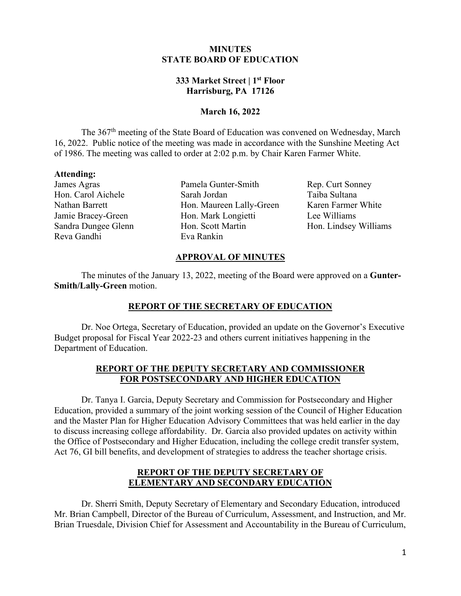### **MINUTES STATE BOARD OF EDUCATION**

# **333 Market Street | 1st Floor Harrisburg, PA 17126**

### **March 16, 2022**

The 367<sup>th</sup> meeting of the State Board of Education was convened on Wednesday, March 16, 2022. Public notice of the meeting was made in accordance with the Sunshine Meeting Act of 1986. The meeting was called to order at 2:02 p.m. by Chair Karen Farmer White.

#### **Attending:**

James Agras Hon. Carol Aichele Nathan Barrett Jamie Bracey-Green Sandra Dungee Glenn Reva Gandhi

Pamela Gunter-Smith Sarah Jordan Hon. Maureen Lally-Green Hon. Mark Longietti Hon. Scott Martin Eva Rankin

Rep. Curt Sonney Taiba Sultana Karen Farmer White Lee Williams Hon. Lindsey Williams

## **APPROVAL OF MINUTES**

The minutes of the January 13, 2022, meeting of the Board were approved on a **Gunter-Smith/Lally-Green** motion.

# **REPORT OF THE SECRETARY OF EDUCATION**

Dr. Noe Ortega, Secretary of Education, provided an update on the Governor's Executive Budget proposal for Fiscal Year 2022-23 and others current initiatives happening in the Department of Education.

## **REPORT OF THE DEPUTY SECRETARY AND COMMISSIONER FOR POSTSECONDARY AND HIGHER EDUCATION**

Dr. Tanya I. Garcia, Deputy Secretary and Commission for Postsecondary and Higher Education, provided a summary of the joint working session of the Council of Higher Education and the Master Plan for Higher Education Advisory Committees that was held earlier in the day to discuss increasing college affordability. Dr. Garcia also provided updates on activity within the Office of Postsecondary and Higher Education, including the college credit transfer system, Act 76, GI bill benefits, and development of strategies to address the teacher shortage crisis.

### **REPORT OF THE DEPUTY SECRETARY OF ELEMENTARY AND SECONDARY EDUCATION**

Dr. Sherri Smith, Deputy Secretary of Elementary and Secondary Education, introduced Mr. Brian Campbell, Director of the Bureau of Curriculum, Assessment, and Instruction, and Mr. Brian Truesdale, Division Chief for Assessment and Accountability in the Bureau of Curriculum,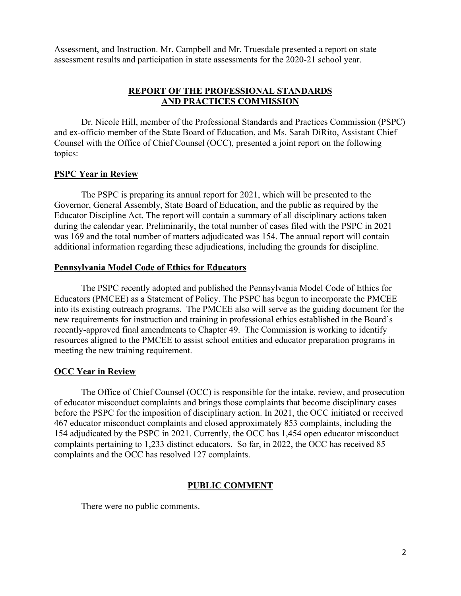Assessment, and Instruction. Mr. Campbell and Mr. Truesdale presented a report on state assessment results and participation in state assessments for the 2020-21 school year.

# **REPORT OF THE PROFESSIONAL STANDARDS AND PRACTICES COMMISSION**

Dr. Nicole Hill, member of the Professional Standards and Practices Commission (PSPC) and ex-officio member of the State Board of Education, and Ms. Sarah DiRito, Assistant Chief Counsel with the Office of Chief Counsel (OCC), presented a joint report on the following topics:

## **PSPC Year in Review**

The PSPC is preparing its annual report for 2021, which will be presented to the Governor, General Assembly, State Board of Education, and the public as required by the Educator Discipline Act. The report will contain a summary of all disciplinary actions taken during the calendar year. Preliminarily, the total number of cases filed with the PSPC in 2021 was 169 and the total number of matters adjudicated was 154. The annual report will contain additional information regarding these adjudications, including the grounds for discipline.

#### **Pennsylvania Model Code of Ethics for Educators**

The PSPC recently adopted and published the Pennsylvania Model Code of Ethics for Educators (PMCEE) as a Statement of Policy. The PSPC has begun to incorporate the PMCEE into its existing outreach programs. The PMCEE also will serve as the guiding document for the new requirements for instruction and training in professional ethics established in the Board's recently-approved final amendments to Chapter 49. The Commission is working to identify resources aligned to the PMCEE to assist school entities and educator preparation programs in meeting the new training requirement.

#### **OCC Year in Review**

The Office of Chief Counsel (OCC) is responsible for the intake, review, and prosecution of educator misconduct complaints and brings those complaints that become disciplinary cases before the PSPC for the imposition of disciplinary action. In 2021, the OCC initiated or received 467 educator misconduct complaints and closed approximately 853 complaints, including the 154 adjudicated by the PSPC in 2021. Currently, the OCC has 1,454 open educator misconduct complaints pertaining to 1,233 distinct educators. So far, in 2022, the OCC has received 85 complaints and the OCC has resolved 127 complaints.

#### **PUBLIC COMMENT**

There were no public comments.